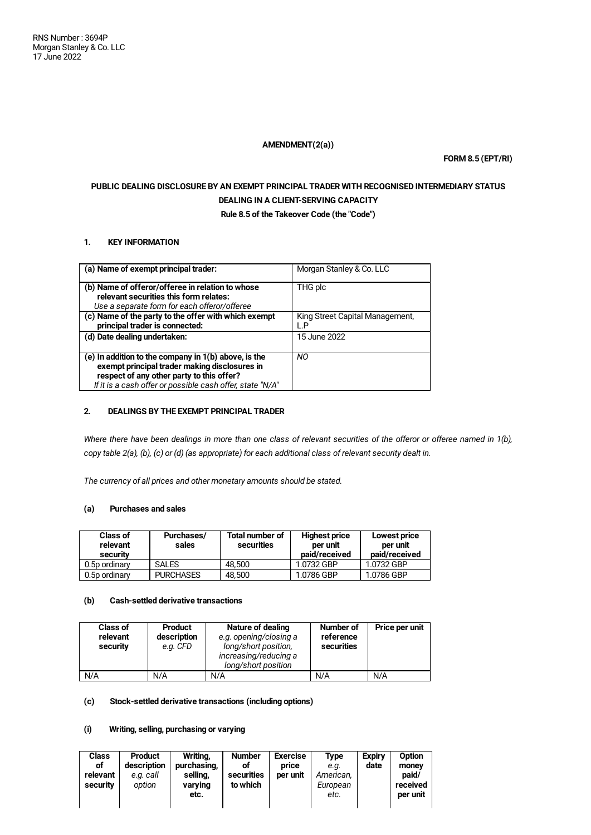## **AMENDMENT(2(a))**

**FORM 8.5 (EPT/RI)**

# **PUBLIC DEALING DISCLOSURE BY AN EXEMPT PRINCIPAL TRADER WITH RECOGNISED INTERMEDIARY STATUS DEALING IN A CLIENT-SERVING CAPACITY**

**Rule 8.5 of the Takeover Code (the "Code")**

## **1. KEY INFORMATION**

| (a) Name of exempt principal trader:                                                                                                                                                                            | Morgan Stanley & Co. LLC               |
|-----------------------------------------------------------------------------------------------------------------------------------------------------------------------------------------------------------------|----------------------------------------|
| (b) Name of offeror/offeree in relation to whose<br>relevant securities this form relates:<br>Use a separate form for each offeror/offeree                                                                      | THG plc                                |
| (c) Name of the party to the offer with which exempt<br>principal trader is connected:                                                                                                                          | King Street Capital Management,<br>L.P |
| (d) Date dealing undertaken:                                                                                                                                                                                    | 15 June 2022                           |
| (e) In addition to the company in 1(b) above, is the<br>exempt principal trader making disclosures in<br>respect of any other party to this offer?<br>If it is a cash offer or possible cash offer, state "N/A" | NO.                                    |

## **2. DEALINGS BY THE EXEMPT PRINCIPAL TRADER**

Where there have been dealings in more than one class of relevant securities of the offeror or offeree named in 1(b), copy table 2(a), (b), (c) or (d) (as appropriate) for each additional class of relevant security dealt in.

*The currency of all prices and other monetary amounts should be stated.*

## **(a) Purchases and sales**

| <b>Class of</b><br>relevant<br>security | Purchases/<br>sales | Total number of<br>securities | <b>Highest price</b><br>per unit<br>paid/received | Lowest price<br>per unit<br>paid/received |
|-----------------------------------------|---------------------|-------------------------------|---------------------------------------------------|-------------------------------------------|
| 0.5p ordinary                           | <b>SALES</b>        | 48.500                        | 1.0732 GBP                                        | 1.0732 GBP                                |
| 0.5p ordinary                           | <b>PURCHASES</b>    | 48.500                        | 1.0786 GBP                                        | 1.0786 GBP                                |

#### **(b) Cash-settled derivative transactions**

| <b>Class of</b><br>relevant<br>security | <b>Product</b><br>description<br>e.g. CFD | Nature of dealing<br>e.g. opening/closing a<br>long/short position,<br>increasing/reducing a<br>long/short position | Number of<br>reference<br>securities | Price per unit |
|-----------------------------------------|-------------------------------------------|---------------------------------------------------------------------------------------------------------------------|--------------------------------------|----------------|
| N/A                                     | N/A                                       | N/A                                                                                                                 | N/A                                  | N/A            |

## **(c) Stock-settled derivative transactions (including options)**

#### **(i) Writing, selling, purchasing or varying**

| Class<br>of<br>relevant<br>security | <b>Product</b><br>description<br>e.g. call<br>option | Writina.<br>purchasing,<br>selling,<br>varying<br>etc. | <b>Number</b><br>of<br>securities<br>to which | <b>Exercise</b><br>price<br>per unit | Type<br>e.a.<br>American,<br>European<br>etc. | <b>Expiry</b><br>date | Option<br>money<br>paid/<br>received<br>per unit |
|-------------------------------------|------------------------------------------------------|--------------------------------------------------------|-----------------------------------------------|--------------------------------------|-----------------------------------------------|-----------------------|--------------------------------------------------|
|-------------------------------------|------------------------------------------------------|--------------------------------------------------------|-----------------------------------------------|--------------------------------------|-----------------------------------------------|-----------------------|--------------------------------------------------|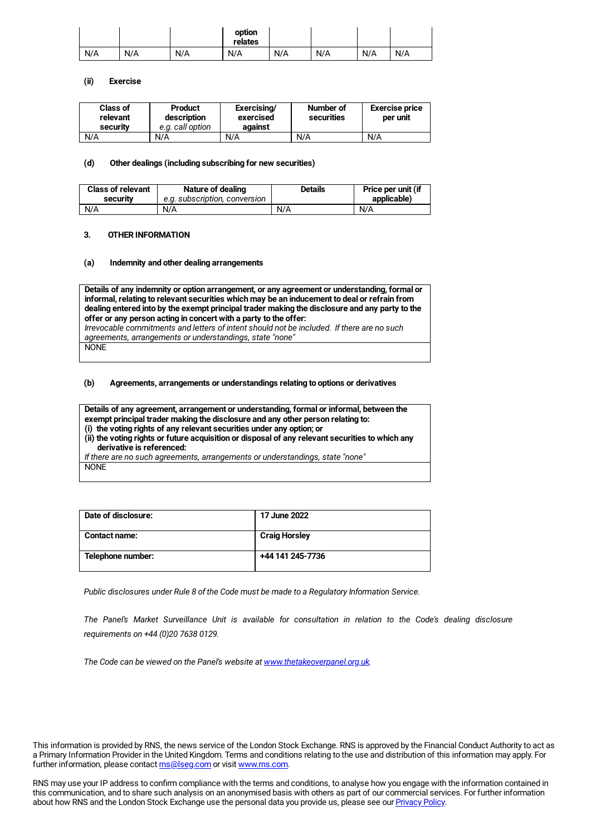|     |     |     | option<br>relates |     |     |     |     |
|-----|-----|-----|-------------------|-----|-----|-----|-----|
| N/A | N/A | N/A | N/A               | N/A | N/A | N/A | N/A |

#### **(ii) Exercise**

| <b>Class of</b><br>relevant<br>security | Product<br>description<br>e.g. call option | Exercising/<br>exercised<br>against | Number of<br>securities | <b>Exercise price</b><br>per unit |
|-----------------------------------------|--------------------------------------------|-------------------------------------|-------------------------|-----------------------------------|
| N/A                                     | N/A                                        | N/A                                 | N/A                     | N/A                               |

#### **(d) Other dealings (including subscribing for new securities)**

| <b>Class of relevant</b> | Nature of dealing             | <b>Details</b> | Price per unit (if |
|--------------------------|-------------------------------|----------------|--------------------|
| security                 | e.a. subscription, conversion |                | applicable)        |
| N/A                      | N/A                           | N/A            | N/A                |

## **3. OTHER INFORMATION**

#### **(a) Indemnity and other dealing arrangements**

**Details of any indemnity or option arrangement, or any agreement or understanding, formal or informal, relating to relevant securities which may be an inducement to deal or refrain from dealing entered into by the exempt principal trader making the disclosure and any party to the offer or any person acting in concert with a party to the offer:** *Irrevocable commitments and letters of intent should not be included. If there are no such agreements, arrangements or understandings, state "none"* NONE

#### **(b) Agreements, arrangements or understandings relating to options or derivatives**

**Details of any agreement, arrangement or understanding, formal or informal, between the exempt principal trader making the disclosure and any other person relating to: (i) the voting rights of any relevant securities under any option; or (ii) the voting rights or future acquisition or disposal of any relevant securities to which any derivative is referenced:**

*If there are no such agreements, arrangements or understandings, state "none"* NONE

| Date of disclosure:  | 17 June 2022         |
|----------------------|----------------------|
| <b>Contact name:</b> | <b>Craig Horsley</b> |
| Telephone number:    | +44 141 245-7736     |

*Public disclosures under Rule 8 of the Code must be made to a Regulatory Information Service.*

*The Panel's Market Surveillance Unit is available for consultation in relation to the Code's dealing disclosure requirements on +44 (0)20 7638 0129.*

*The Code can be viewed on the Panel's website at [www.thetakeoverpanel.org.uk](http://www.thetakeoverpanel.org.uk/).*

This information is provided by RNS, the news service of the London Stock Exchange. RNS is approved by the Financial Conduct Authority to act as a Primary Information Provider in the United Kingdom. Terms and conditions relating to the use and distribution of this information may apply. For further information, please contact **ms@lseg.com** or visit [www.rns.com](http://www.rns.com/).

RNS may use your IP address to confirm compliance with the terms and conditions, to analyse how you engage with the information contained in this communication, and to share such analysis on an anonymised basis with others as part of our commercial services. For further information about how RNS and the London Stock Exchange use the personal data you provide us, please see our [Privacy](https://www.lseg.com/privacy-and-cookie-policy) Policy.